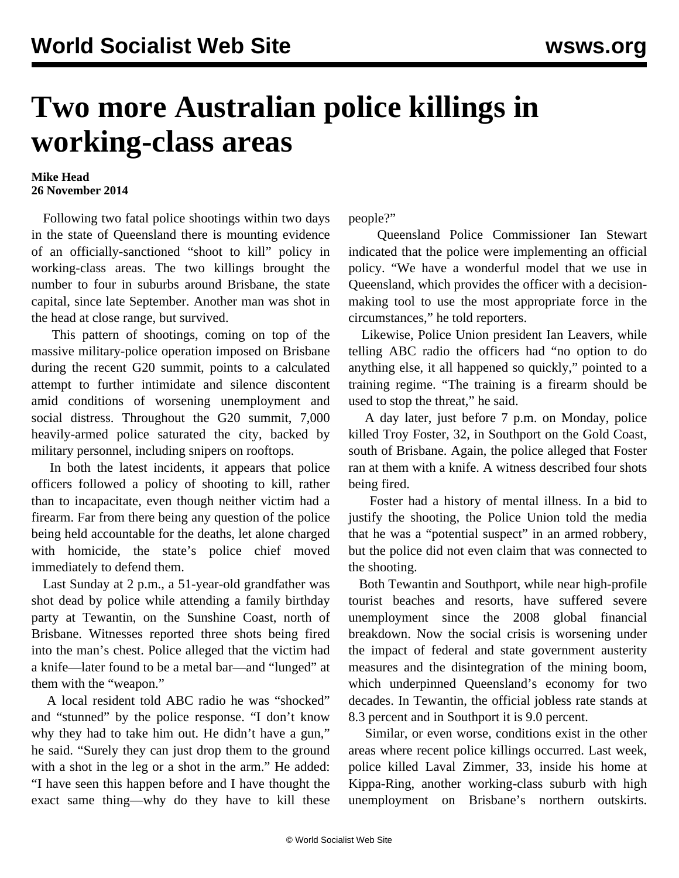## **Two more Australian police killings in working-class areas**

## **Mike Head 26 November 2014**

 Following two fatal police shootings within two days in the state of Queensland there is mounting evidence of an officially-sanctioned "shoot to kill" policy in working-class areas. The two killings brought the number to four in suburbs around Brisbane, the state capital, since late September. Another man was shot in the head at close range, but survived.

 This pattern of shootings, coming on top of the massive military-police operation imposed on Brisbane during the recent G20 summit, points to a calculated attempt to further intimidate and silence discontent amid conditions of worsening unemployment and social distress. Throughout the G20 summit, 7,000 heavily-armed police saturated the city, backed by military personnel, including snipers on rooftops.

 In both the latest incidents, it appears that police officers followed a policy of shooting to kill, rather than to incapacitate, even though neither victim had a firearm. Far from there being any question of the police being held accountable for the deaths, let alone charged with homicide, the state's police chief moved immediately to defend them.

 Last Sunday at 2 p.m., a 51-year-old grandfather was shot dead by police while attending a family birthday party at Tewantin, on the Sunshine Coast, north of Brisbane. Witnesses reported three shots being fired into the man's chest. Police alleged that the victim had a knife—later found to be a metal bar—and "lunged" at them with the "weapon."

 A local resident told ABC radio he was "shocked" and "stunned" by the police response. "I don't know why they had to take him out. He didn't have a gun," he said. "Surely they can just drop them to the ground with a shot in the leg or a shot in the arm." He added: "I have seen this happen before and I have thought the exact same thing—why do they have to kill these people?"

 Queensland Police Commissioner Ian Stewart indicated that the police were implementing an official policy. "We have a wonderful model that we use in Queensland, which provides the officer with a decisionmaking tool to use the most appropriate force in the circumstances," he told reporters.

 Likewise, Police Union president Ian Leavers, while telling ABC radio the officers had "no option to do anything else, it all happened so quickly," pointed to a training regime. "The training is a firearm should be used to stop the threat," he said.

 A day later, just before 7 p.m. on Monday, police killed Troy Foster, 32, in Southport on the Gold Coast, south of Brisbane. Again, the police alleged that Foster ran at them with a knife. A witness described four shots being fired.

 Foster had a history of mental illness. In a bid to justify the shooting, the Police Union told the media that he was a "potential suspect" in an armed robbery, but the police did not even claim that was connected to the shooting.

 Both Tewantin and Southport, while near high-profile tourist beaches and resorts, have suffered severe unemployment since the 2008 global financial breakdown. Now the social crisis is worsening under the impact of federal and state government austerity measures and the disintegration of the mining boom, which underpinned Queensland's economy for two decades. In Tewantin, the official jobless rate stands at 8.3 percent and in Southport it is 9.0 percent.

 Similar, or even worse, conditions exist in the other areas where recent police killings occurred. [Last week,](/en/articles/2014/11/21/poli-n21.html) police killed Laval Zimmer, 33, inside his home at Kippa-Ring, another working-class suburb with high unemployment on Brisbane's northern outskirts.